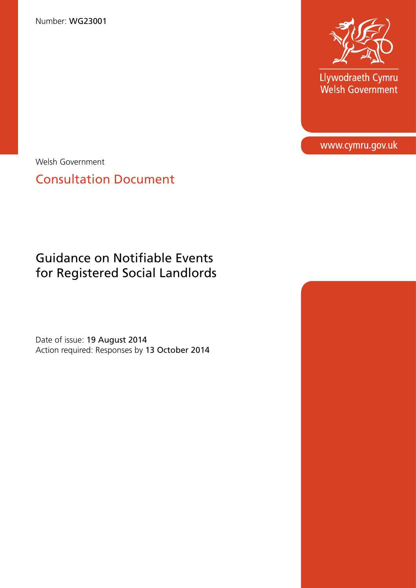Number: WG23001



Llywodraeth Cymru<br>Welsh Government

www.cymru.gov.uk

Welsh Government

Consultation Document

# Guidance on Notifiable Events for Registered Social Landlords

Date of issue: 19 August 2014 Action required: Responses by 13 October 2014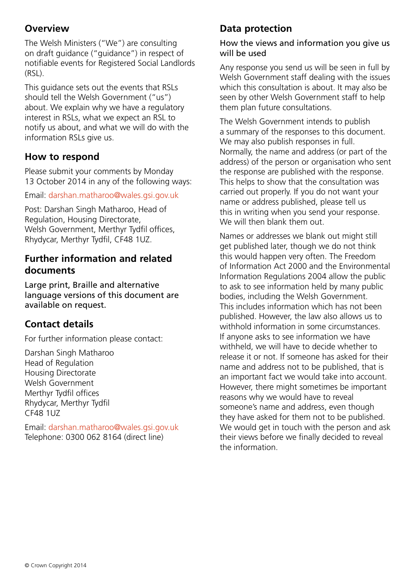### **Overview**

The Welsh Ministers ("We") are consulting on draft guidance ("guidance") in respect of notifiable events for Registered Social Landlords (RSL).

This guidance sets out the events that RSLs should tell the Welsh Government ("us") about. We explain why we have a regulatory interest in RSLs, what we expect an RSL to notify us about, and what we will do with the information RSLs give us.

### **How to respond**

Please submit your comments by Monday 13 October 2014 in any of the following ways:

Email: [darshan.matharoo@wales.gsi.gov.uk](mailto:darshan.matharoo%40wales.gsi.gov.uk?subject=)

Post: Darshan Singh Matharoo, Head of Regulation, Housing Directorate, Welsh Government, Merthyr Tydfil offices, Rhydycar, Merthyr Tydfil, CF48 1UZ.

### **Further information and related documents**

Large print, Braille and alternative language versions of this document are available on request.

# **Contact details**

For further information please contact:

Darshan Singh Matharoo Head of Regulation Housing Directorate Welsh Government Merthyr Tydfil offices Rhydycar, Merthyr Tydfil CF48 1UZ

Email: [darshan.matharoo@wales.gsi.gov.uk](mailto:darshan.matharoo%40wales.gsi.gov.uk?subject=) Telephone: 0300 062 8164 (direct line)

# **Data protection**

#### How the views and information you give us will be used

Any response you send us will be seen in full by Welsh Government staff dealing with the issues which this consultation is about. It may also be seen by other Welsh Government staff to help them plan future consultations.

The Welsh Government intends to publish a summary of the responses to this document. We may also publish responses in full. Normally, the name and address (or part of the address) of the person or organisation who sent the response are published with the response. This helps to show that the consultation was carried out properly. If you do not want your name or address published, please tell us this in writing when you send your response. We will then blank them out.

Names or addresses we blank out might still get published later, though we do not think this would happen very often. The Freedom of Information Act 2000 and the Environmental Information Regulations 2004 allow the public to ask to see information held by many public bodies, including the Welsh Government. This includes information which has not been published. However, the law also allows us to withhold information in some circumstances. If anyone asks to see information we have withheld, we will have to decide whether to release it or not. If someone has asked for their name and address not to be published, that is an important fact we would take into account. However, there might sometimes be important reasons why we would have to reveal someone's name and address, even though they have asked for them not to be published. We would get in touch with the person and ask their views before we finally decided to reveal the information.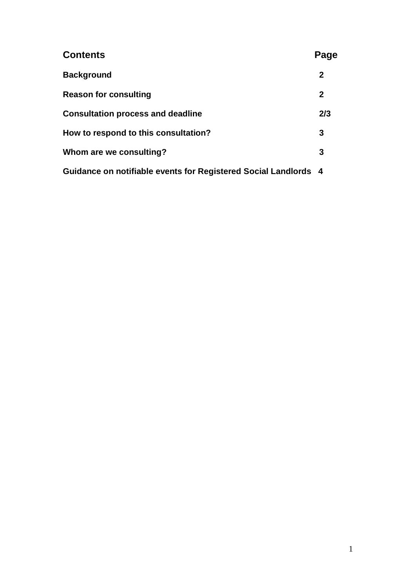| <b>Contents</b>                                                 | Page        |
|-----------------------------------------------------------------|-------------|
| <b>Background</b>                                               | $\mathbf 2$ |
| <b>Reason for consulting</b>                                    | $\mathbf 2$ |
| <b>Consultation process and deadline</b>                        | 2/3         |
| How to respond to this consultation?                            |             |
| Whom are we consulting?                                         |             |
| Guidance on notifiable events for Registered Social Landlords 4 |             |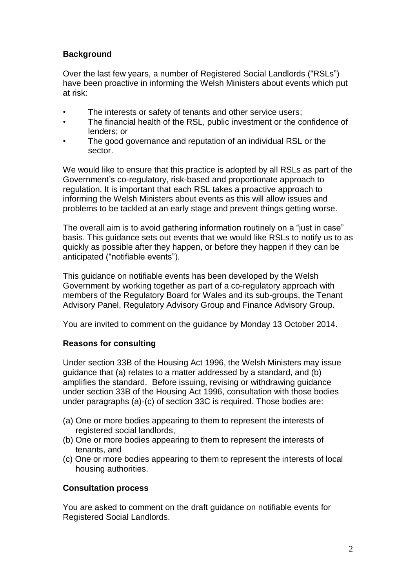#### **Background**

Over the last few years, a number of Registered Social Landlords ("RSLs") have been proactive in informing the Welsh Ministers about events which put at risk:

- The interests or safety of tenants and other service users;
- The financial health of the RSL, public investment or the confidence of lenders; or
- The good governance and reputation of an individual RSL or the sector.

We would like to ensure that this practice is adopted by all RSLs as part of the Government's co-regulatory, risk-based and proportionate approach to regulation. It is important that each RSL takes a proactive approach to informing the Welsh Ministers about events as this will allow issues and problems to be tackled at an early stage and prevent things getting worse.

The overall aim is to avoid gathering information routinely on a "just in case" basis. This guidance sets out events that we would like RSLs to notify us to as quickly as possible after they happen, or before they happen if they can be anticipated ("notifiable events").

This guidance on notifiable events has been developed by the Welsh Government by working together as part of a co-regulatory approach with members of the Regulatory Board for Wales and its sub-groups, the Tenant Advisory Panel, Regulatory Advisory Group and Finance Advisory Group.

You are invited to comment on the guidance by Monday 13 October 2014.

#### **Reasons for consulting**

Under section 33B of the Housing Act 1996, the Welsh Ministers may issue guidance that (a) relates to a matter addressed by a standard, and (b) amplifies the standard. Before issuing, revising or withdrawing guidance under section 33B of the Housing Act 1996, consultation with those bodies under paragraphs (a)-(c) of section 33C is required. Those bodies are:

- (a) One or more bodies appearing to them to represent the interests of registered social landlords,
- (b) One or more bodies appearing to them to represent the interests of tenants, and
- (c) One or more bodies appearing to them to represent the interests of local housing authorities.

#### **Consultation process**

You are asked to comment on the draft guidance on notifiable events for Registered Social Landlords.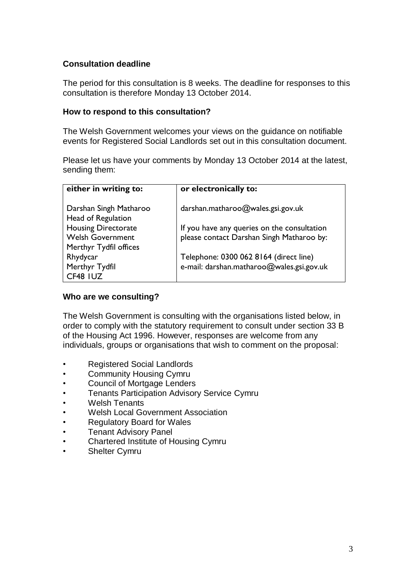#### **Consultation deadline**

The period for this consultation is 8 weeks. The deadline for responses to this consultation is therefore Monday 13 October 2014.

#### **How to respond to this consultation?**

The Welsh Government welcomes your views on the guidance on notifiable events for Registered Social Landlords set out in this consultation document.

Please let us have your comments by Monday 13 October 2014 at the latest, sending them:

| either in writing to:                        | or electronically to:                       |
|----------------------------------------------|---------------------------------------------|
| Darshan Singh Matharoo<br>Head of Regulation | darshan.matharoo@wales.gsi.gov.uk           |
| <b>Housing Directorate</b>                   | If you have any queries on the consultation |
| <b>Welsh Government</b>                      | please contact Darshan Singh Matharoo by:   |
| Merthyr Tydfil offices                       |                                             |
| Rhydycar                                     | Telephone: 0300 062 8164 (direct line)      |
| Merthyr Tydfil                               | e-mail: darshan.matharoo@wales.gsi.gov.uk   |
| CF48 IUZ                                     |                                             |

#### **Who are we consulting?**

The Welsh Government is consulting with the organisations listed below, in order to comply with the statutory requirement to consult under section 33 B of the Housing Act 1996. However, responses are welcome from any individuals, groups or organisations that wish to comment on the proposal:

- Registered Social Landlords
- Community Housing Cymru
- Council of Mortgage Lenders
- Tenants Participation Advisory Service Cymru
- Welsh Tenants
- Welsh Local Government Association
- Regulatory Board for Wales
- **Tenant Advisory Panel**
- Chartered Institute of Housing Cymru
- Shelter Cymru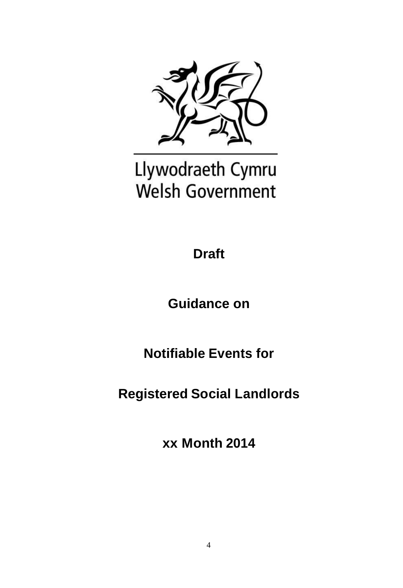

# Llywodraeth Cymru **Welsh Government**

**Draft** 

**Guidance on**

**Notifiable Events for**

**Registered Social Landlords**

**xx Month 2014**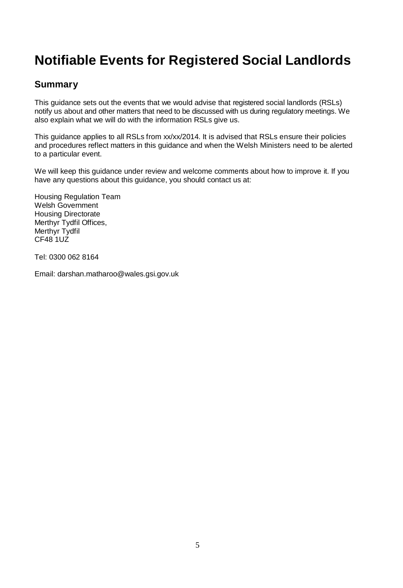# **Notifiable Events for Registered Social Landlords**

### **Summary**

This guidance sets out the events that we would advise that registered social landlords (RSLs) notify us about and other matters that need to be discussed with us during regulatory meetings. We also explain what we will do with the information RSLs give us.

This guidance applies to all RSLs from xx/xx/2014. It is advised that RSLs ensure their policies and procedures reflect matters in this guidance and when the Welsh Ministers need to be alerted to a particular event.

We will keep this guidance under review and welcome comments about how to improve it. If you have any questions about this guidance, you should contact us at:

Housing Regulation Team Welsh Government Housing Directorate Merthyr Tydfil Offices, Merthyr Tydfil CF48 1UZ

Tel: 0300 062 8164

Email: darshan.matharoo@wales.gsi.gov.uk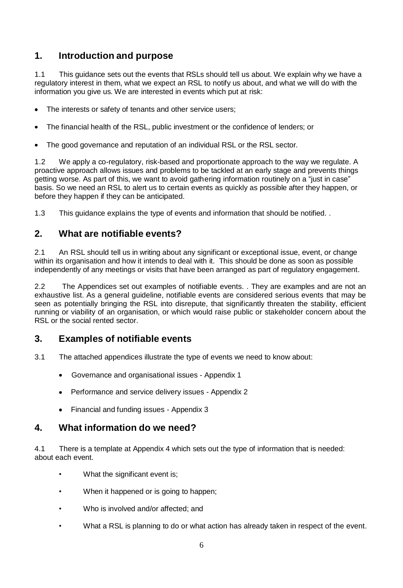### **1. Introduction and purpose**

1.1 This guidance sets out the events that RSLs should tell us about. We explain why we have a regulatory interest in them, what we expect an RSL to notify us about, and what we will do with the information you give us. We are interested in events which put at risk:

- The interests or safety of tenants and other service users;
- The financial health of the RSL, public investment or the confidence of lenders; or  $\bullet$
- The good governance and reputation of an individual RSL or the RSL sector.  $\bullet$

1.2 We apply a co-regulatory, risk-based and proportionate approach to the way we regulate. A proactive approach allows issues and problems to be tackled at an early stage and prevents things getting worse. As part of this, we want to avoid gathering information routinely on a "just in case" basis. So we need an RSL to alert us to certain events as quickly as possible after they happen, or before they happen if they can be anticipated.

1.3 This guidance explains the type of events and information that should be notified. .

### **2. What are notifiable events?**

2.1 An RSL should tell us in writing about any significant or exceptional issue, event, or change within its organisation and how it intends to deal with it. This should be done as soon as possible independently of any meetings or visits that have been arranged as part of regulatory engagement.

2.2 The Appendices set out examples of notifiable events. . They are examples and are not an exhaustive list. As a general guideline, notifiable events are considered serious events that may be seen as potentially bringing the RSL into disrepute, that significantly threaten the stability, efficient running or viability of an organisation, or which would raise public or stakeholder concern about the RSL or the social rented sector.

### **3. Examples of notifiable events**

- 3.1 The attached appendices illustrate the type of events we need to know about:
	- Governance and organisational issues Appendix 1
	- Performance and service delivery issues Appendix 2
	- Financial and funding issues Appendix 3

#### **4. What information do we need?**

4.1 There is a template at Appendix 4 which sets out the type of information that is needed: about each event.

- What the significant event is;
- When it happened or is going to happen;
- Who is involved and/or affected; and
- What a RSL is planning to do or what action has already taken in respect of the event.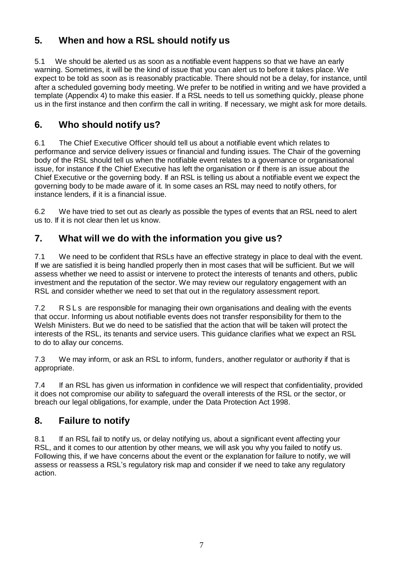### **5. When and how a RSL should notify us**

5.1 We should be alerted us as soon as a notifiable event happens so that we have an early warning. Sometimes, it will be the kind of issue that you can alert us to before it takes place. We expect to be told as soon as is reasonably practicable. There should not be a delay, for instance, until after a scheduled governing body meeting. We prefer to be notified in writing and we have provided a template (Appendix 4) to make this easier. If a RSL needs to tell us something quickly, please phone us in the first instance and then confirm the call in writing. If necessary, we might ask for more details.

### **6. Who should notify us?**

6.1 The Chief Executive Officer should tell us about a notifiable event which relates to performance and service delivery issues or financial and funding issues. The Chair of the governing body of the RSL should tell us when the notifiable event relates to a governance or organisational issue, for instance if the Chief Executive has left the organisation or if there is an issue about the Chief Executive or the governing body. If an RSL is telling us about a notifiable event we expect the governing body to be made aware of it. In some cases an RSL may need to notify others, for instance lenders, if it is a financial issue.

6.2 We have tried to set out as clearly as possible the types of events that an RSL need to alert us to. If it is not clear then let us know.

### **7. What will we do with the information you give us?**

7.1 We need to be confident that RSLs have an effective strategy in place to deal with the event. If we are satisfied it is being handled properly then in most cases that will be sufficient. But we will assess whether we need to assist or intervene to protect the interests of tenants and others, public investment and the reputation of the sector. We may review our regulatory engagement with an RSL and consider whether we need to set that out in the regulatory assessment report.

7.2 R S L s are responsible for managing their own organisations and dealing with the events that occur. Informing us about notifiable events does not transfer responsibility for them to the Welsh Ministers. But we do need to be satisfied that the action that will be taken will protect the interests of the RSL, its tenants and service users. This guidance clarifies what we expect an RSL to do to allay our concerns.

7.3 We may inform, or ask an RSL to inform, funders, another regulator or authority if that is appropriate.

7.4 If an RSL has given us information in confidence we will respect that confidentiality, provided it does not compromise our ability to safeguard the overall interests of the RSL or the sector, or breach our legal obligations, for example, under the Data Protection Act 1998.

### **8. Failure to notify**

8.1 If an RSL fail to notify us, or delay notifying us, about a significant event affecting your RSL, and it comes to our attention by other means, we will ask you why you failed to notify us. Following this, if we have concerns about the event or the explanation for failure to notify, we will assess or reassess a RSL's regulatory risk map and consider if we need to take any regulatory action.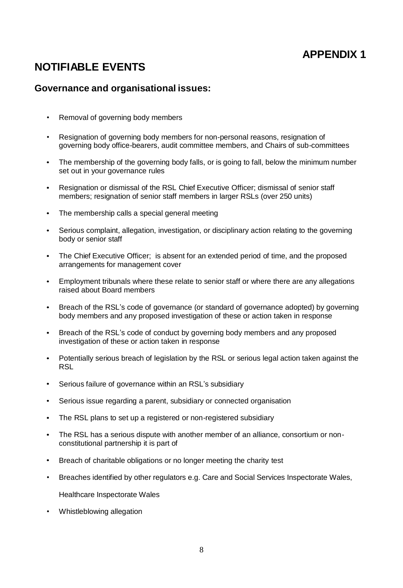## **NOTIFIABLE EVENTS**

#### **Governance and organisational issues:**

- Removal of governing body members
- Resignation of governing body members for non-personal reasons, resignation of governing body office-bearers, audit committee members, and Chairs of sub-committees
- The membership of the governing body falls, or is going to fall, below the minimum number set out in your governance rules
- Resignation or dismissal of the RSL Chief Executive Officer; dismissal of senior staff members; resignation of senior staff members in larger RSLs (over 250 units)
- The membership calls a special general meeting  $\bullet$
- Serious complaint, allegation, investigation, or disciplinary action relating to the governing body or senior staff
- The Chief Executive Officer; is absent for an extended period of time, and the proposed arrangements for management cover
- Employment tribunals where these relate to senior staff or where there are any allegations raised about Board members
- Breach of the RSL's code of governance (or standard of governance adopted) by governing body members and any proposed investigation of these or action taken in response
- Breach of the RSL's code of conduct by governing body members and any proposed  $\bullet$ investigation of these or action taken in response
- Potentially serious breach of legislation by the RSL or serious legal action taken against the  $\bullet$ **RSL**
- Serious failure of governance within an RSL's subsidiary
- Serious issue regarding a parent, subsidiary or connected organisation
- The RSL plans to set up a registered or non-registered subsidiary
- The RSL has a serious dispute with another member of an alliance, consortium or nonconstitutional partnership it is part of
- Breach of charitable obligations or no longer meeting the charity test
- Breaches identified by other regulators e.g. Care and Social Services Inspectorate Wales, Healthcare Inspectorate Wales
- Whistleblowing allegation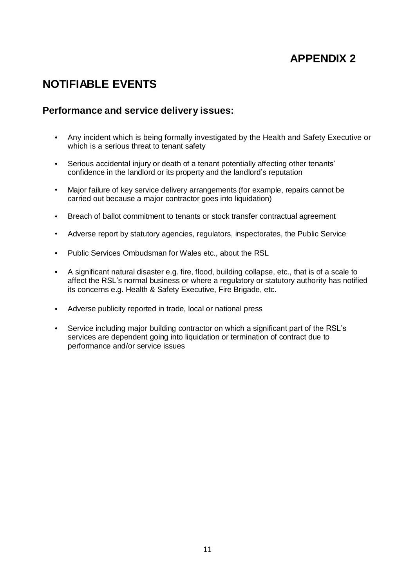# **NOTIFIABLE EVENTS**

#### **Performance and service delivery issues:**

- Any incident which is being formally investigated by the Health and Safety Executive or which is a serious threat to tenant safety
- Serious accidental injury or death of a tenant potentially affecting other tenants' confidence in the landlord or its property and the landlord's reputation
- Major failure of key service delivery arrangements (for example, repairs cannot be carried out because a major contractor goes into liquidation)
- Breach of ballot commitment to tenants or stock transfer contractual agreement  $\bullet$
- Adverse report by statutory agencies, regulators, inspectorates, the Public Service
- Public Services Ombudsman for Wales etc., about the RSL
- A significant natural disaster e.g. fire, flood, building collapse, etc., that is of a scale to  $\bullet$ affect the RSL's normal business or where a regulatory or statutory authority has notified its concerns e.g. Health & Safety Executive, Fire Brigade, etc.
- Adverse publicity reported in trade, local or national press
- Service including major building contractor on which a significant part of the RSL's services are dependent going into liquidation or termination of contract due to performance and/or service issues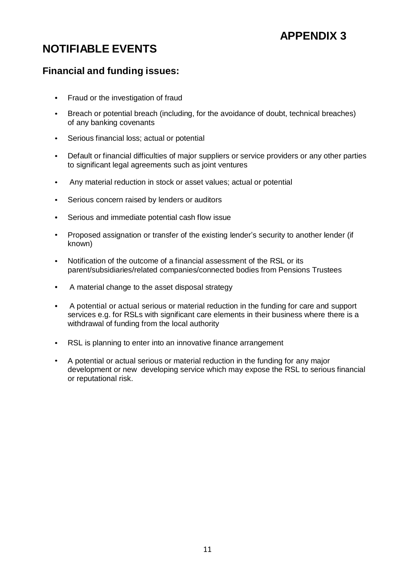# **NOTIFIABLE EVENTS**

### **Financial and funding issues:**

- Fraud or the investigation of fraud  $\bullet$
- Breach or potential breach (including, for the avoidance of doubt, technical breaches) of any banking covenants
- Serious financial loss; actual or potential  $\bullet$
- Default or financial difficulties of major suppliers or service providers or any other parties to significant legal agreements such as joint ventures
- Any material reduction in stock or asset values; actual or potential  $\bullet$
- Serious concern raised by lenders or auditors
- Serious and immediate potential cash flow issue  $\bullet$
- Proposed assignation or transfer of the existing lender's security to another lender (if known)
- Notification of the outcome of a financial assessment of the RSL or its parent/subsidiaries/related companies/connected bodies from Pensions Trustees
- $\bullet$ A material change to the asset disposal strategy
- A potential or actual serious or material reduction in the funding for care and support services e.g. for RSLs with significant care elements in their business where there is a withdrawal of funding from the local authority
- RSL is planning to enter into an innovative finance arrangement
- A potential or actual serious or material reduction in the funding for any major development or new developing service which may expose the RSL to serious financial or reputational risk.